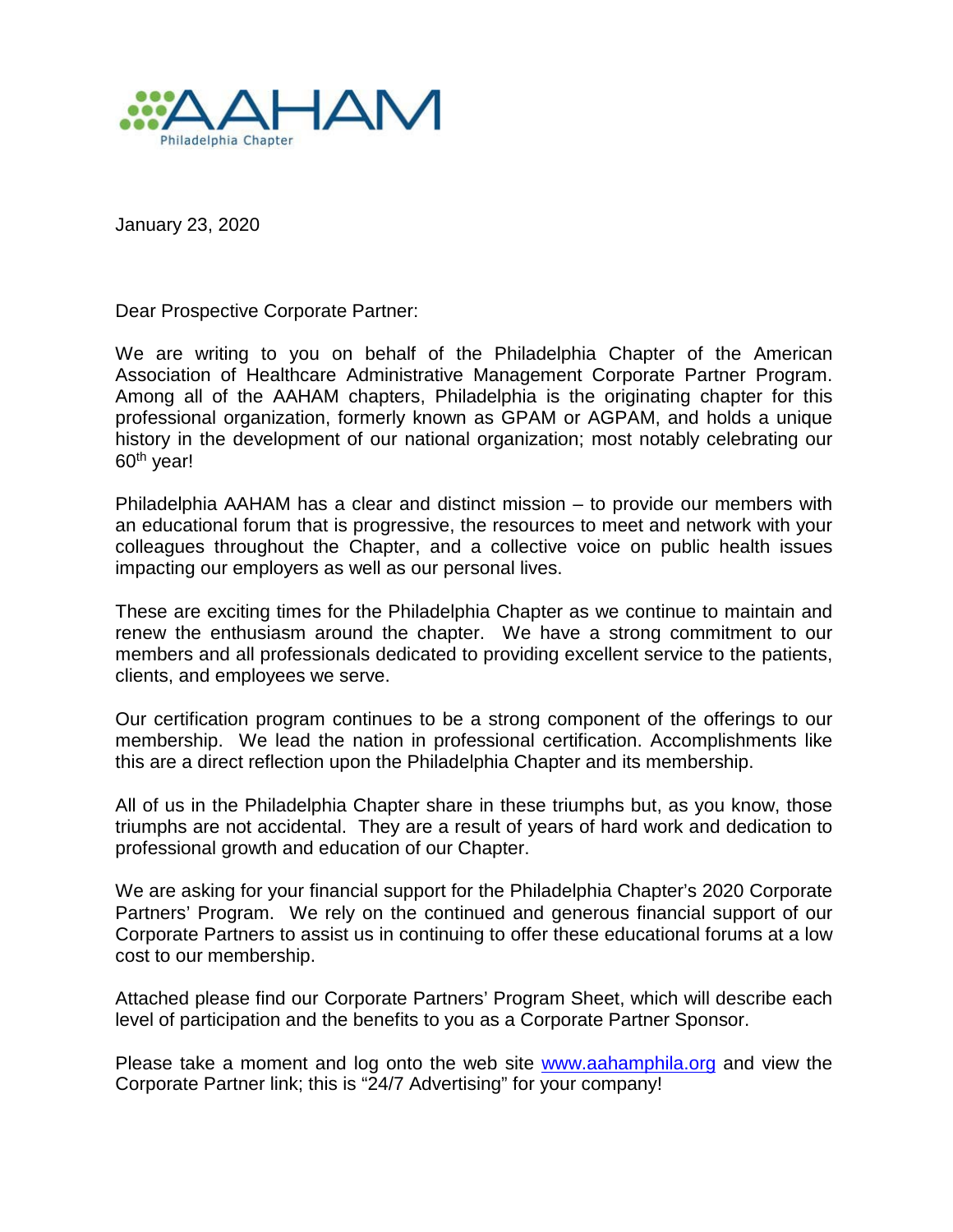

January 23, 2020

Dear Prospective Corporate Partner:

We are writing to you on behalf of the Philadelphia Chapter of the American Association of Healthcare Administrative Management Corporate Partner Program. Among all of the AAHAM chapters, Philadelphia is the originating chapter for this professional organization, formerly known as GPAM or AGPAM, and holds a unique history in the development of our national organization; most notably celebrating our 60th year!

Philadelphia AAHAM has a clear and distinct mission – to provide our members with an educational forum that is progressive, the resources to meet and network with your colleagues throughout the Chapter, and a collective voice on public health issues impacting our employers as well as our personal lives.

These are exciting times for the Philadelphia Chapter as we continue to maintain and renew the enthusiasm around the chapter. We have a strong commitment to our members and all professionals dedicated to providing excellent service to the patients, clients, and employees we serve.

Our certification program continues to be a strong component of the offerings to our membership. We lead the nation in professional certification. Accomplishments like this are a direct reflection upon the Philadelphia Chapter and its membership.

All of us in the Philadelphia Chapter share in these triumphs but, as you know, those triumphs are not accidental. They are a result of years of hard work and dedication to professional growth and education of our Chapter.

We are asking for your financial support for the Philadelphia Chapter's 2020 Corporate Partners' Program. We rely on the continued and generous financial support of our Corporate Partners to assist us in continuing to offer these educational forums at a low cost to our membership.

Attached please find our Corporate Partners' Program Sheet, which will describe each level of participation and the benefits to you as a Corporate Partner Sponsor.

Please take a moment and log onto the web site [www.aahamphila.org](http://www.aahamphila.org/) and view the Corporate Partner link; this is "24/7 Advertising" for your company!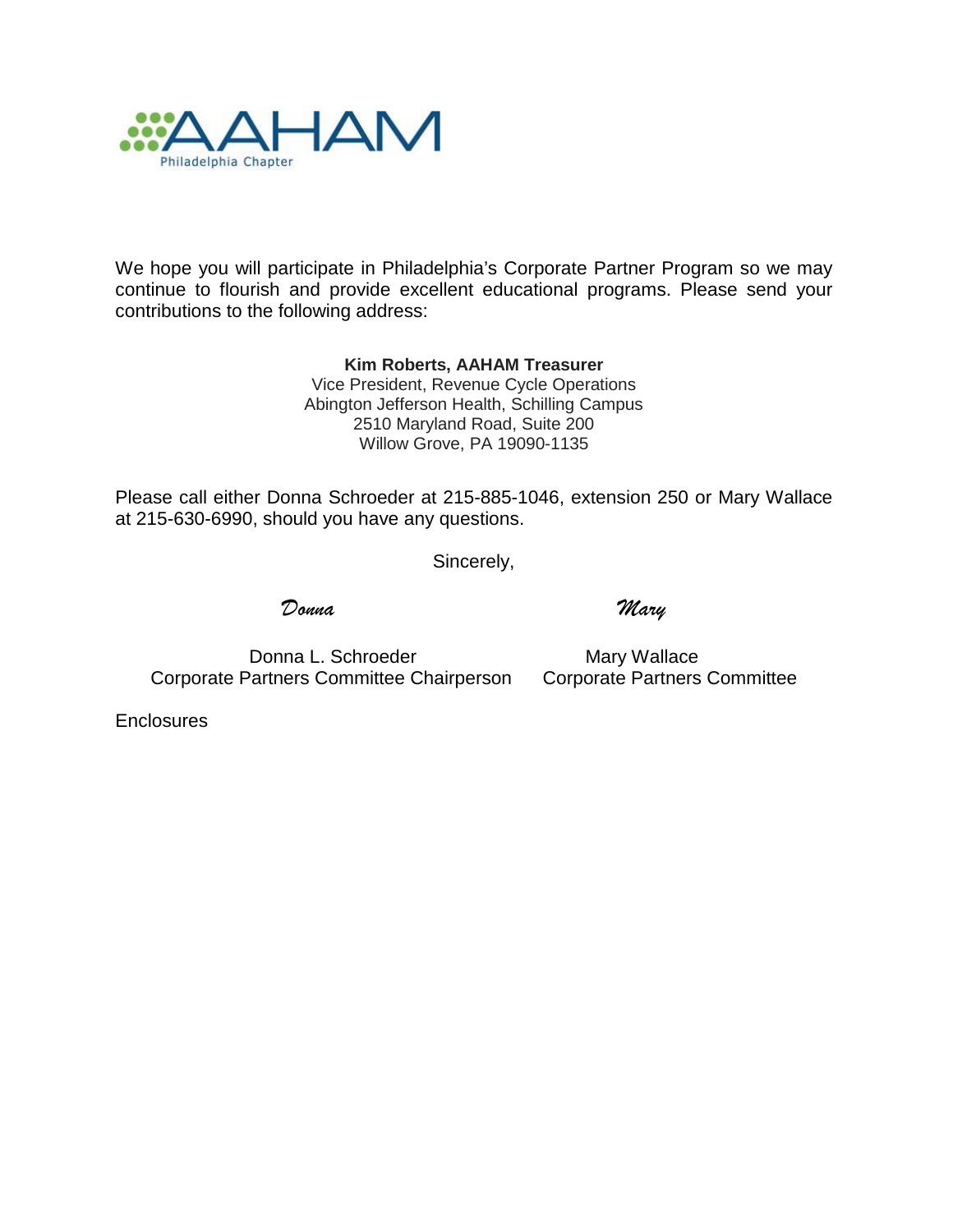

We hope you will participate in Philadelphia's Corporate Partner Program so we may continue to flourish and provide excellent educational programs. Please send your contributions to the following address:

> **Kim Roberts, AAHAM Treasurer** Vice President, Revenue Cycle Operations Abington Jefferson Health, Schilling Campus 2510 Maryland Road, Suite 200 Willow Grove, PA 19090-1135

Please call either Donna Schroeder at 215-885-1046, extension 250 or Mary Wallace at 215-630-6990, should you have any questions.

Sincerely,

*Donna Mary*

Donna L. Schroeder Mary Wallace Corporate Partners Committee Chairperson Corporate Partners Committee

**Enclosures**